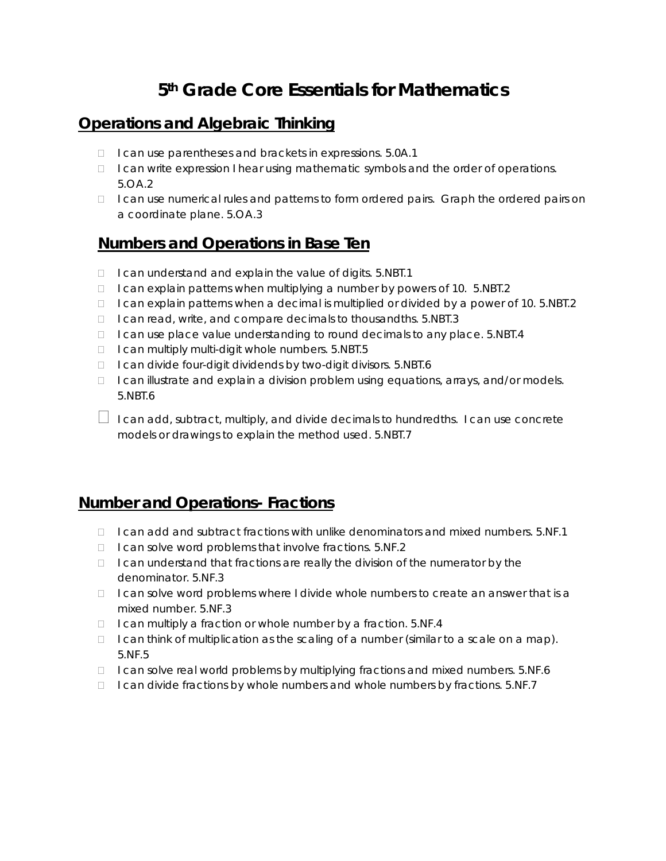## **5th Grade Core Essentials for Mathematics**

#### **Operations and Algebraic Thinking**

- □ I can use parentheses and brackets in expressions. 5.0A.1
- $\Box$  I can write expression I hear using mathematic symbols and the order of operations. 5.OA.2
- $\Box$  I can use numerical rules and patterns to form ordered pairs. Graph the ordered pairs on a coordinate plane. 5.OA.3

#### **Numbers and Operations in Base Ten**

- $\Box$  I can understand and explain the value of digits. 5.NBT.1
- $\Box$  I can explain patterns when multiplying a number by powers of 10. 5.NBT.2
- □ I can explain patterns when a decimal is multiplied or divided by a power of 10. 5.NBT.2
- $\Box$  I can read, write, and compare decimals to thousandths. 5.NBT.3
- □ I can use place value understanding to round decimals to any place. 5.NBT.4
- $\Box$  I can multiply multi-digit whole numbers. 5.NBT.5
- $\Box$  I can divide four-digit dividends by two-digit divisors. 5.NBT.6
- □ I can illustrate and explain a division problem using equations, arrays, and/or models. 5.NBT.6
- $\Box$  I can add, subtract, multiply, and divide decimals to hundredths. I can use concrete models or drawings to explain the method used. 5.NBT.7

#### **Number and Operations- Fractions**

- $\Box$  I can add and subtract fractions with unlike denominators and mixed numbers. 5.NF.1
- $\Box$  I can solve word problems that involve fractions. 5.NF.2
- $\Box$  I can understand that fractions are really the division of the numerator by the denominator. 5.NF.3
- $\Box$  I can solve word problems where I divide whole numbers to create an answer that is a mixed number. 5.NF.3
- $\Box$  I can multiply a fraction or whole number by a fraction. 5.NF.4
- $\Box$  I can think of multiplication as the scaling of a number (similar to a scale on a map). 5.NF.5
- $\Box$  I can solve real world problems by multiplying fractions and mixed numbers. 5.NF.6
- $\Box$  I can divide fractions by whole numbers and whole numbers by fractions. 5.NF.7